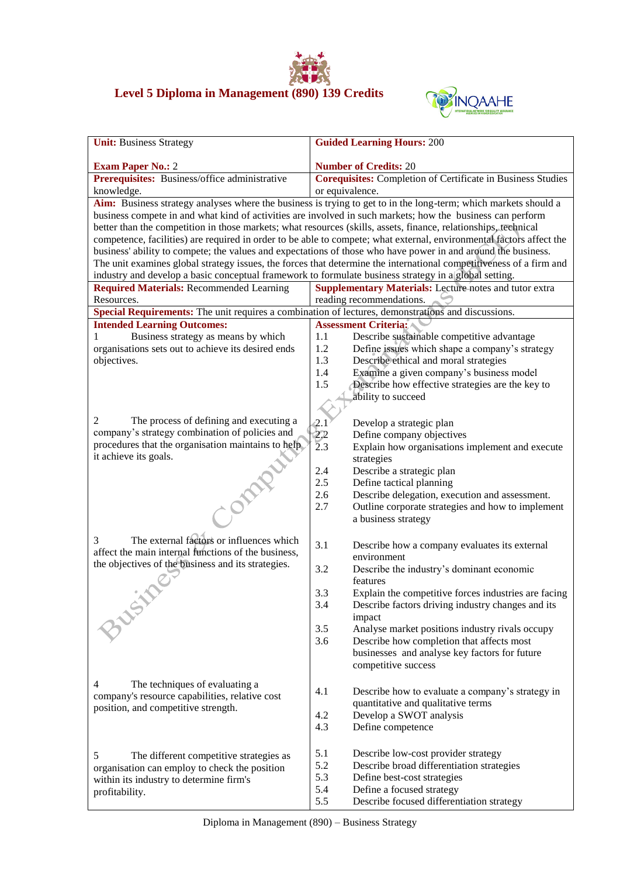## **Level 5 Diploma in Management (890) 139 Credits**



| <b>Unit: Business Strategy</b>                                                                                  | <b>Guided Learning Hours: 200</b>                                                                                    |  |  |  |
|-----------------------------------------------------------------------------------------------------------------|----------------------------------------------------------------------------------------------------------------------|--|--|--|
| <b>Exam Paper No.: 2</b>                                                                                        | <b>Number of Credits: 20</b>                                                                                         |  |  |  |
| Prerequisites: Business/office administrative                                                                   | <b>Corequisites:</b> Completion of Certificate in Business Studies                                                   |  |  |  |
| knowledge.                                                                                                      | or equivalence.                                                                                                      |  |  |  |
| Aim: Business strategy analyses where the business is trying to get to in the long-term; which markets should a |                                                                                                                      |  |  |  |
|                                                                                                                 | business compete in and what kind of activities are involved in such markets; how the business can perform           |  |  |  |
|                                                                                                                 | better than the competition in those markets; what resources (skills, assets, finance, relationships, technical      |  |  |  |
|                                                                                                                 | competence, facilities) are required in order to be able to compete; what external, environmental factors affect the |  |  |  |
| business' ability to compete; the values and expectations of those who have power in and around the business.   |                                                                                                                      |  |  |  |
|                                                                                                                 | The unit examines global strategy issues, the forces that determine the international competitiveness of a firm and  |  |  |  |
| industry and develop a basic conceptual framework to formulate business strategy in a global setting.           |                                                                                                                      |  |  |  |
| <b>Required Materials: Recommended Learning</b>                                                                 | <b>Supplementary Materials:</b> Lecture notes and tutor extra                                                        |  |  |  |
| Resources.                                                                                                      | reading recommendations.                                                                                             |  |  |  |
| Special Requirements: The unit requires a combination of lectures, demonstrations and discussions.              |                                                                                                                      |  |  |  |
| <b>Intended Learning Outcomes:</b>                                                                              | <b>Assessment Criteria:</b>                                                                                          |  |  |  |
| Business strategy as means by which<br>1                                                                        | Describe sustainable competitive advantage<br>1.1                                                                    |  |  |  |
| organisations sets out to achieve its desired ends                                                              | 1.2<br>Define issues which shape a company's strategy                                                                |  |  |  |
| objectives.                                                                                                     | 1.3<br>Describe ethical and moral strategies                                                                         |  |  |  |
|                                                                                                                 | 1.4<br>Examine a given company's business model                                                                      |  |  |  |
|                                                                                                                 | Describe how effective strategies are the key to<br>1.5                                                              |  |  |  |
|                                                                                                                 | ability to succeed                                                                                                   |  |  |  |
|                                                                                                                 |                                                                                                                      |  |  |  |
| The process of defining and executing a<br>2                                                                    | Develop a strategic plan                                                                                             |  |  |  |
| company's strategy combination of policies and                                                                  | $2.1$<br>$2.2$<br>$2.3$<br>Define company objectives                                                                 |  |  |  |
| procedures that the organisation maintains to help.                                                             | Explain how organisations implement and execute                                                                      |  |  |  |
| it achieve its goals.                                                                                           | strategies                                                                                                           |  |  |  |
|                                                                                                                 | Describe a strategic plan<br>2.4                                                                                     |  |  |  |
|                                                                                                                 | 2.5<br>Define tactical planning                                                                                      |  |  |  |
|                                                                                                                 | 2.6<br>Describe delegation, execution and assessment.                                                                |  |  |  |
| Class                                                                                                           | Outline corporate strategies and how to implement<br>2.7                                                             |  |  |  |
|                                                                                                                 | a business strategy                                                                                                  |  |  |  |
| The external factors or influences which<br>3                                                                   | 3.1                                                                                                                  |  |  |  |
| affect the main internal functions of the business,                                                             | Describe how a company evaluates its external<br>environment                                                         |  |  |  |
| the objectives of the business and its strategies.                                                              | 3.2<br>Describe the industry's dominant economic                                                                     |  |  |  |
|                                                                                                                 | features                                                                                                             |  |  |  |
|                                                                                                                 | 3.3<br>Explain the competitive forces industries are facing                                                          |  |  |  |
|                                                                                                                 | 3.4<br>Describe factors driving industry changes and its                                                             |  |  |  |
|                                                                                                                 | impact                                                                                                               |  |  |  |
| <b>ZUGAY</b>                                                                                                    | 3.5<br>Analyse market positions industry rivals occupy                                                               |  |  |  |
|                                                                                                                 | 3.6<br>Describe how completion that affects most                                                                     |  |  |  |
|                                                                                                                 | businesses and analyse key factors for future                                                                        |  |  |  |
|                                                                                                                 | competitive success                                                                                                  |  |  |  |
|                                                                                                                 |                                                                                                                      |  |  |  |
| The techniques of evaluating a<br>4                                                                             | 4.1<br>Describe how to evaluate a company's strategy in                                                              |  |  |  |
| company's resource capabilities, relative cost                                                                  | quantitative and qualitative terms                                                                                   |  |  |  |
| position, and competitive strength.                                                                             | 4.2<br>Develop a SWOT analysis                                                                                       |  |  |  |
|                                                                                                                 | 4.3<br>Define competence                                                                                             |  |  |  |
|                                                                                                                 |                                                                                                                      |  |  |  |
| 5                                                                                                               | 5.1<br>Describe low-cost provider strategy                                                                           |  |  |  |
| The different competitive strategies as<br>organisation can employ to check the position                        | 5.2<br>Describe broad differentiation strategies                                                                     |  |  |  |
| within its industry to determine firm's                                                                         | 5.3<br>Define best-cost strategies                                                                                   |  |  |  |
| profitability.                                                                                                  | 5.4<br>Define a focused strategy                                                                                     |  |  |  |
|                                                                                                                 | 5.5<br>Describe focused differentiation strategy                                                                     |  |  |  |